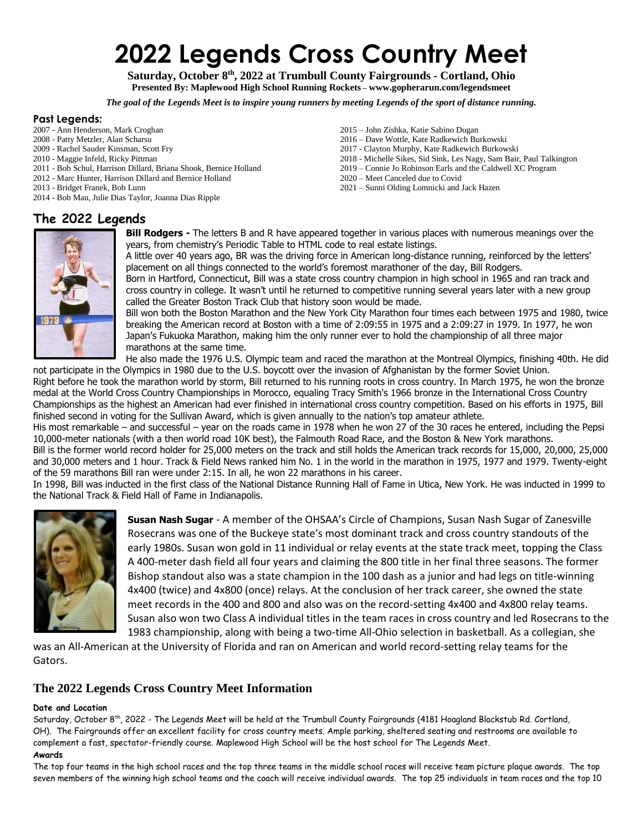# **2022 Legends Cross Country Meet**

**Saturday, October 8th, 2022 at Trumbull County Fairgrounds - Cortland, Ohio Presented By: Maplewood High School Running Rockets – [www.gopherarun.com/legendsmeet](http://www.gopherarun.com/legendsmeet)**

*The goal of the Legends Meet is to inspire young runners by meeting Legends of the sport of distance running.*

#### **Past Legends:**

- 2007 Ann Henderson, Mark Croghan
- 2008 Patty Metzler, Alan Scharsu
- 2009 Rachel Sauder Kinsman, Scott Fry
- 2010 Maggie Infeld, Ricky Pittman
- 2011 Bob Schul, Harrison Dillard, Briana Shook, Bernice Holland
- 2012 Marc Hunter, Harrison Dillard and Bernice Holland
- 2013 Bridget Franek, Bob Lunn
- 2014 Bob Mau, Julie Dias Taylor, Joanna Dias Ripple

## **The 2022 Legends**

- 2015 John Zishka, Katie Sabino Dugan 2016 – Dave Wottle, Kate Radkewich Burkowski
- 2017 Clayton Murphy, Kate Radkewich Burkowski
- 2018 Michelle Sikes, Sid Sink, Les Nagy, Sam Bair, Paul Talkington
- 2019 Connie Jo Robinson Earls and the Caldwell XC Program
- 2020 Meet Canceled due to Covid
- 2021 Sunni Olding Lomnicki and Jack Hazen

**Bill Rodgers -** The letters B and R have appeared together in various places with numerous meanings over the years, from chemistry's Periodic Table to HTML code to real estate listings.

A little over 40 years ago, BR was the driving force in American long-distance running, reinforced by the letters' placement on all things connected to the world's foremost marathoner of the day, Bill Rodgers.

Born in Hartford, Connecticut, Bill was a state cross country champion in high school in 1965 and ran track and cross country in college. It wasn't until he returned to competitive running several years later with a new group called the Greater Boston Track Club that history soon would be made.

Bill won both the Boston Marathon and the New York City Marathon four times each between 1975 and 1980, twice breaking the American record at Boston with a time of 2:09:55 in 1975 and a 2:09:27 in 1979. In 1977, he won Japan's Fukuoka Marathon, making him the only runner ever to hold the championship of all three major marathons at the same time.

He also made the 1976 U.S. Olympic team and raced the marathon at the Montreal Olympics, finishing 40th. He did not participate in the Olympics in 1980 due to the U.S. boycott over the invasion of Afghanistan by the former Soviet Union.

Right before he took the marathon world by storm, Bill returned to his running roots in cross country. In March 1975, he won the bronze medal at the World Cross Country Championships in Morocco, equaling Tracy Smith's 1966 bronze in the International Cross Country Championships as the highest an American had ever finished in international cross country competition. Based on his efforts in 1975, Bill finished second in voting for the Sullivan Award, which is given annually to the nation's top amateur athlete.

His most remarkable – and successful – year on the roads came in 1978 when he won 27 of the 30 races he entered, including the Pepsi 10,000-meter nationals (with a then world road 10K best), the Falmouth Road Race, and the Boston & New York marathons.

Bill is the former world record holder for 25,000 meters on the track and still holds the American track records for 15,000, 20,000, 25,000 and 30,000 meters and 1 hour. Track & Field News ranked him No. 1 in the world in the marathon in 1975, 1977 and 1979. Twenty-eight of the 59 marathons Bill ran were under 2:15. In all, he won 22 marathons in his career.

In 1998, Bill was inducted in the first class of the National Distance Running Hall of Fame in Utica, New York. He was inducted in 1999 to the National Track & Field Hall of Fame in Indianapolis.



**Susan Nash Sugar** - A member of the OHSAA's Circle of Champions, Susan Nash Sugar of Zanesville Rosecrans was one of the Buckeye state's most dominant track and cross country standouts of the early 1980s. Susan won gold in 11 individual or relay events at the state track meet, topping the Class A 400-meter dash field all four years and claiming the 800 title in her final three seasons. The former Bishop standout also was a state champion in the 100 dash as a junior and had legs on title-winning 4x400 (twice) and 4x800 (once) relays. At the conclusion of her track career, she owned the state meet records in the 400 and 800 and also was on the record-setting 4x400 and 4x800 relay teams. Susan also won two Class A individual titles in the team races in cross country and led Rosecrans to the 1983 championship, along with being a two-time All-Ohio selection in basketball. As a collegian, she

was an All-American at the University of Florida and ran on American and world record-setting relay teams for the Gators.

### **The 2022 Legends Cross Country Meet Information**

#### **Date and Location**

Saturday, October 8<sup>th</sup>, 2022 - The Legends Meet will be held at the Trumbull County Fairgrounds (4181 Hoagland Blackstub Rd. Cortland, OH). The Fairgrounds offer an excellent facility for cross country meets. Ample parking, sheltered seating and restrooms are available to complement a fast, spectator-friendly course. Maplewood High School will be the host school for The Legends Meet.

#### **Awards**

The top four teams in the high school races and the top three teams in the middle school races will receive team picture plaque awards. The top seven members of the winning high school teams and the coach will receive individual awards. The top 25 individuals in team races and the top 10